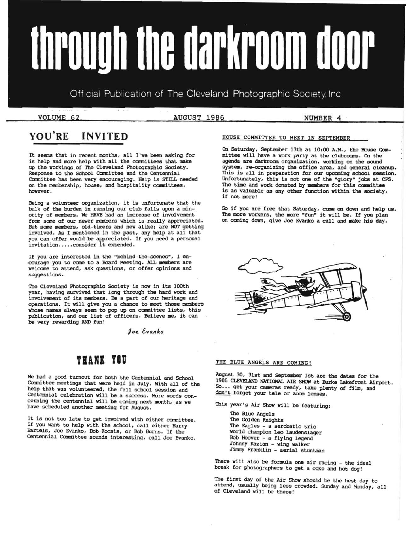# through the darkroom door

Official Publication of The Cleveland Photographic Society. Inc.

VOLUME 62 **AUGUST 1986** NUMBER 4

# **YOU'RE INVITED**

It seems that in recent months, all I've been asking for is help and more help with all the committees that make up the workings of The Cleveland Photographic Society. Response to the School Committee and the Centennial Committee has been very encouraging. Help is STILL needed on the membership, house, and hospitality committees, however.

Being a volunteer organization, it is unfortunate that the bulk of the burden in running our club falls upon a minority of members. We HAVE had an increase of invoivement from some of our newer members which is really appreciated. But some members, old-timers and new alike; are NOT getting involved. As I mentioned in the past, any help at all that you can offer would be appreciated. If you need a personal invitation..... consider it extended.

If you are interested in the "behind-the-scenes", I en 'courage you to cane to a Board Meeting. AIL members are welcome to attend, ask questions, or offer opinions and suggestions.

The Cleveland Photographic Society is now in its 100th year, having survived that long through the hard work and involvement of its members. Be a part of our heritage and operations. It will give you a chance to meet those members whose names always seem to pop up on committee lists, this publication, and our list of officers. Believe me, it can be very rewarding AND fun!

 $9$ oe Evanko

# **THANE vau**

We had a good turnout for both the Centennial and School Committee meetings that were held in July. With all of the help that was volunteered, the fall school session and Centennial celebration will be a success. More words concerning the centennial will be coming next month, as we have scheduled another meeting for August.

It is not too late to get involved with either committee. If you want to help with the school, call either Harry Bartels, Joe Evanko, Bob Kocsis, or Bob Burns. If the Centennial Carmittee sounds interesting, call Joe Evanko.

# HOUSE COMMITTEE TO MEET IN SEPTEMBER

On Saturday, September 13th at 10:00 A.M., the House Canmittee will have a work party at the clubrooms. On the agenda are darkroan organization, working on the sound system, re-organizing the office area, and general cleanup. This is all in preparation for our upcoming school session. Unfortunately, this is not one of the "glory" jobs at CPS. The time and work donated by members for this committee is as valuable as any other function within the society, if not more!

So if you are free that Saturday, caae on down and help us. The more workers, the more "fun" it will be. If you plan on coming down, give Joe Evanko a call and make his day.



## THE BLUE ANGELS ARE COMING!

August 30, 31st and September 1st are the dates for the 1986 CLEVELAND NATIONAL AIR SHOW at Burke Lakefront Airport. So••• get your cameras ready, take plenty of film, and don't forget your tele or zoom lenses.

This year's Air Show will be featuring:

'lhe Blue Angels The Golden Knights The Eagles - a aerobatic trio world champion Leo Laudenslager Bob Hoover - a flying legend Johnny Kazian - wing walker Jimmy Franklin - aerial stuntman

There will also be formula one air racing - the ideal break for photographers to get a coke and hot dog!

The first day of the Air Show should be the best day to attend, usually being less crowded. Sunday and Monday, all of Cleveland will be there!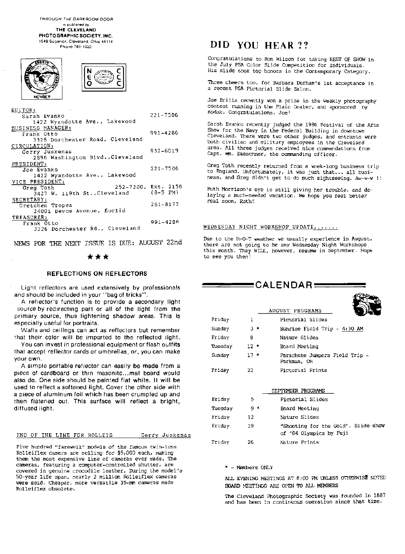THROUGH THE DARKROOM DOOR IS published by THE CLEVELAND PHOTOGRAPHIC SOCIETY. INC. 1549 Sup&rior. Cleveland. Ohio 44114

Phone 781-1533

| <b>MEMBER</b> |  |
|---------------|--|



| EDITOR:                          |              |
|----------------------------------|--------------|
| Sarah Evanko                     | 221-7506     |
| 1422 Wyandotte Ave., Lakewood    |              |
| BUSINESS MANAGER:                |              |
| Frank Otto                       | 991-4286     |
| 3326 Dorchester Road, Cleveland  |              |
| CIRCULATION:                     |              |
| Gerry Juskenas                   | 932-6019     |
| 2896 Washington Blvd., Cleveland |              |
| PRESIDENT:                       |              |
| Joe Evanko                       | $221 - 7506$ |
| 1422 Wyandotte Ave., Lakewood    |              |
| VICE PRESIDENT:                  |              |
| 252-7300, Ext. 2156<br>Greg Toth |              |
| 3427 W. 119th St., Cleveland     | $(B-5)$ PM)  |
| SECRETARY:                       |              |
| Cretchen Tropea                  | 261-8172     |
| 24001 Devoe Avenue, Euclid       |              |
| TREASURER:                       |              |
| Frank Otto                       | 991-4286     |
| 3326 Dorchester Rd., Cleveland   |              |
|                                  |              |

NEWS FOR THE NEXT ISSUE IS DUE: AUGUST 22nd

# \*\*\*

# REFLECTIONS ON REflECTORS

Light reflectors are used extensively by professionals and should be included in your "bag of tricks".

A reflector's function is to provide a secondary light source by redirecting part or all of the light from the primary source, thus lightening shadow areas. This is especially useful for portraits.

Walls and ceilings can act as reflectors but remember that their color will be imparted to the reflected light.

You can invest in professional equipment or flash outfits that accept reflector cards or umbrellas, or, you can make your own.

of cardboard or thin masonite ... mat board would A simple portable reflector can easily be made from a also do. One side should be painted flat white. It will be used to reflect a softened light. Cover the other side with a piece of aluminum foil which has been crumpled up and then flatened out. This surface will reflect a bright, diffused light.

#### END OF THE LINE FOR ROLLEIS

Gerry Juskenas

Five hundred "farewell" models of the famous twin-lens Rolleiflex camera are selling for \$5,000 each, making them the most expensive line of cameras ever made. The cameras, featuring a computer-controlled shutter, are covered in genuine crocodile leather. During the model's 50-year life span, nearly 2 million Rolleiflex cameras were sold. Cheaper, more versatile 35-rnrn cameras made Ro1leiflex obsolete.

# DID YOU HEAR ??

Congratulations to Ron Wilson for taking BEST OF SHOW in the July PSA Color Slide Competition for Individuals. His slide took top honors in the Contemporary Category.

Three cheers too, for Barbara Durham's 1st acceptance in a recent PSA Pictorial Slide Salon.

Joe Brilla recently won a prize in the weekly photography contest running in the Plain Dealer, and sponsored by Kodak. Congratulations, Joe!

Sarah Evanko recently judged the 1986 Festival of the Arts Show for the Navy in the Federal Building in downtown Cleveland. There were two other judges, and entrants were both civilian and military employees in the Cleveland area. All three judges received nice commendations from Capt. Wm. Daeschner, the commanding officer.

Greg Toth recently returned from a week-long business trip to England. Unfortunately, it was just that... all business, and Greg didn't get to do much sightseeing. Aw-w-w !!

Ruth Morrison's eye is still giving her trouble, and delaying a much-needed vacation. We hope you feel better real soon, Ruth!

#### WEDNESDAY NIGHT WORKSHOP UPDATE.......

there are not going to be any Wednesday Night Workshops Due to the H-O-T weather we usually experience in August, this month. They WILL, however, resume in September. Hope to see you then

 $=$  CALENDAR  $=$ 

 $429 -$ 

|         |        | AUGUST PROGRAMS                                                |
|---------|--------|----------------------------------------------------------------|
| Friday  | T.     | Pictorial Slides                                               |
| Sunday  | з.     | Sunrise Field Trip - 4:30 AM                                   |
| Friday  | 8      | Nature Slides                                                  |
| Tuesday | $12*$  | Board Meeting                                                  |
| Sunday  | $17 -$ | Parachute Jumpers Field Trip -<br>Parkman, OH                  |
| Friday  | 22     | Pictorial Prints                                               |
|         |        |                                                                |
|         |        | SEPTEMBER PROGRAMS                                             |
| Friday  | 5.     | Pictorial Slides                                               |
| Tuesday | $9 *$  | Board Meeting                                                  |
| Friday  | 12     | Nature Slides                                                  |
| Friday  | 19     | "Shooting for the Gold", Slide show<br>of '84 Olympics by Fuji |
| Friday  | 26     | Nature Prints                                                  |

#### ." - Members ONLY

ALL EVENING MEETINGS AT 8:00 PM UNLESS OTHERWIsE NOTED BOARD MEETINGS ARE OPEN TO ALL MEMBERS

The Cleveland Photographic Society was founded in 1887 and has been in continuous operation since that time.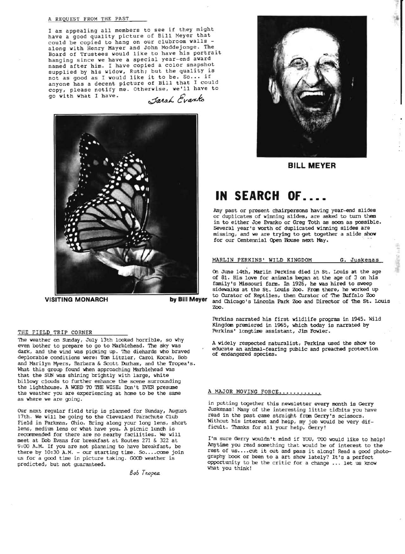### A REQUEST FROM THE PAST

I am appealing all members to see if they might have a good quality picture of Bill Meyer that<br>could be copied to hang on our clubroom walls could be copied to hang on our clubroom walls -<br>along with Henry Mayer and John Moddejonge. The<br>Board of Trustees would like to have his portrait hanging since we have a special year-end award named after him . I have copied a color snapshot supplied by his widow, Ruth; but the quality is not as good as I would like it to be. So... if anyone has a decent picture of Bill that I could copy, please notify me. Otherwise, we'll have to<br>go with what I have.<br>Jatah Evanto go with what I have.





The weather on Sunday, July 13th looked horrible, so why<br>even bother to prepare to go to Marblehead. The sky was<br>dark, and the wind was picking up. The diehards who braved<br>deplorable conditions were: Tom Litzler, Carol Koc and Marilyn Myers, Barbara & Scott Durham, and the Tropea's.<br>What this group found when approaching Marblehead was that the SUN was shining brightly with large, white billowy clouds to further enhance the scene surrounding the lighthouse. A WORD TO THE WISE: Don't EVER presume the weather you are experiencing at home to be the same A MAJOR MOVING FORCE.............<br>as where we are going.

17th. We will be going to the Cleveland Parachute Club read in the past came straight from Gerry's scissors. Field in Parkman, Ohio. Bring along your long lens, short Without his interest and help, my job would be very dif-Freid in Farkman, which bring along your long lens, short ficult. Thanks for all your help, Gerry! lens, medium lens or what have you. A picnic lunch is recommended for there are no nearby facilities. We will meet at Bob Evans for breakfast at Routes 271 & 322 at meet at Bob Evans for breakfast at Routes 271 & 322 at I'm sure Gerry wouldn't mind if YOU, TOO would like to help!<br>9:00 A.M. If you are not planning to have breakfast, be Mytime you read something that would be of interes us for a good time in picture taking. GOOD weather is graphy book or been to a art show lately? It's a perfect<br>predicted, but not guaranteed. (a) opportunity to be the critic for a change ... let us know

Bob *Tropea* 



**BILL MEYER** 

# **IN SEARCH OF ....**

Any past or present chairpersons having year-end slides or duplicates of winning slides, are asked to turn them in to either Joe Evanko or Greg Toth as soon as possible. Several year's worth of duplicated winning slides are missing, and we are trying to get together a slide show missing, and we are trying to get together a slide show<br>for our Centennial Open House next May.

# MARLIN PERKINS' WILD KINGDOM G. Juskenas

On June 14th, Marlin Perkins died in St. Louis at the age of 81. His love for animals began at the age of 3 on his family's Missouri farm. In 1926, he was hired to sweep sidewalks at the St. Louis Zoo. Fran there, he worked up to Curator of Reptiles, then Curator of The Buffalo Zoo **VISITING MONARCH by Bill Meyer** and Chicago's Lincoln Park Zoo and Director of The St. Louis Zoo.

Perkins narrated his first wildlife program in 1945. Wild Kingdom premiered in 1965, which today is narrated by THE FIELD TRIP CORNER Perkins' longtime assistant, Jim Fowler.

in putting together this newsletter every month is Gerry<br>Juskenas! Many of the interesting little tidbits you have Our next regular field trip is planned for Sunday, August Juskenas! Many of the interesting little tidbits you have

9:00 A.M. If you are not planning to have breakfast, be Anytime you read something that would be of interest to the there by 10:30 A.M. - our starting time. So....come join rest of us....cut it out and pass it along! Read there by 10:30 A.M. - our starting time. So ···· come join rest of us.... cut it out and pass it along! Read a good photo-<br>us for a good time in picture taking. GOOD weather is graphy book or been to a art show lately? It' opportunity to be the critic for a change ... let us know what you think!